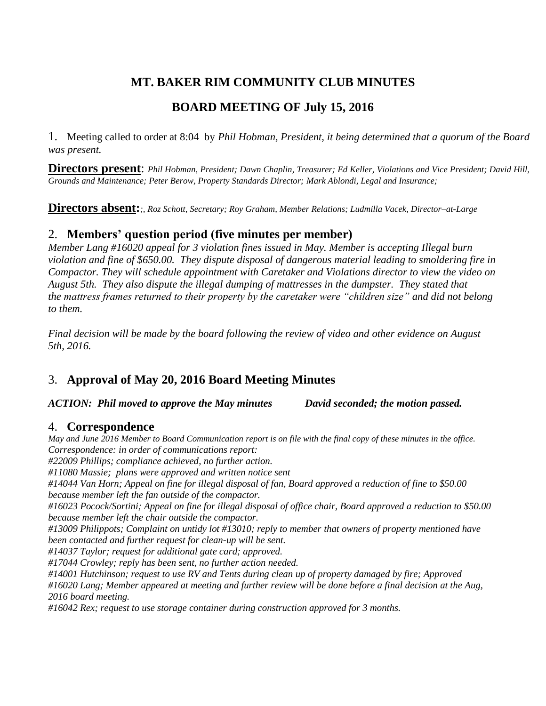# **MT. BAKER RIM COMMUNITY CLUB MINUTES**

## **BOARD MEETING OF July 15, 2016**

1. Meeting called to order at 8:04 by *Phil Hobman, President, it being determined that a quorum of the Board was present.* 

**Directors present**: *Phil Hobman, President; Dawn Chaplin, Treasurer; Ed Keller, Violations and Vice President; David Hill, Grounds and Maintenance; Peter Berow, Property Standards Director; Mark Ablondi, Legal and Insurance;* 

**Directors absent:***;, Roz Schott, Secretary; Roy Graham, Member Relations; Ludmilla Vacek, Director–at-Large*

## 2. **Members' question period (five minutes per member)**

*Member Lang #16020 appeal for 3 violation fines issued in May. Member is accepting Illegal burn violation and fine of \$650.00. They dispute disposal of dangerous material leading to smoldering fire in Compactor. They will schedule appointment with Caretaker and Violations director to view the video on August 5th. They also dispute the illegal dumping of mattresses in the dumpster. They stated that the mattress frames returned to their property by the caretaker were "children size" and did not belong to them.*

*Final decision will be made by the board following the review of video and other evidence on August 5th, 2016.*

## 3. **Approval of May 20, 2016 Board Meeting Minutes**

*ACTION: Phil moved to approve the May minutes David seconded; the motion passed.*

## 4. **Correspondence**

*May and June 2016 Member to Board Communication report is on file with the final copy of these minutes in the office. Correspondence: in order of communications report: #22009 Phillips; compliance achieved, no further action. #11080 Massie; plans were approved and written notice sent #14044 Van Horn; Appeal on fine for illegal disposal of fan, Board approved a reduction of fine to \$50.00 because member left the fan outside of the compactor. #16023 Pocock/Sortini; Appeal on fine for illegal disposal of office chair, Board approved a reduction to \$50.00 because member left the chair outside the compactor. #13009 Philippots; Complaint on untidy lot #13010; reply to member that owners of property mentioned have been contacted and further request for clean-up will be sent. #14037 Taylor; request for additional gate card; approved. #17044 Crowley; reply has been sent, no further action needed. #14001 Hutchinson; request to use RV and Tents during clean up of property damaged by fire; Approved #16020 Lang; Member appeared at meeting and further review will be done before a final decision at the Aug, 2016 board meeting. #16042 Rex; request to use storage container during construction approved for 3 months.*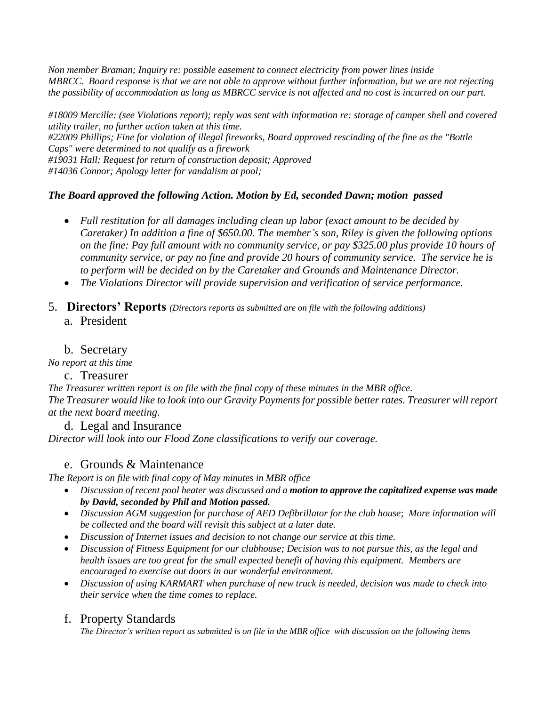*Non member Braman; Inquiry re: possible easement to connect electricity from power lines inside MBRCC. Board response is that we are not able to approve without further information, but we are not rejecting the possibility of accommodation as long as MBRCC service is not affected and no cost is incurred on our part.*

*#18009 Mercille: (see Violations report); reply was sent with information re: storage of camper shell and covered utility trailer, no further action taken at this time. #22009 Phillips; Fine for violation of illegal fireworks, Board approved rescinding of the fine as the "Bottle Caps" were determined to not qualify as a firework #19031 Hall; Request for return of construction deposit; Approved #14036 Connor; Apology letter for vandalism at pool;* 

### *The Board approved the following Action. Motion by Ed, seconded Dawn; motion passed*

- *Full restitution for all damages including clean up labor (exact amount to be decided by Caretaker) In addition a fine of \$650.00. The member's son, Riley is given the following options on the fine: Pay full amount with no community service, or pay \$325.00 plus provide 10 hours of community service, or pay no fine and provide 20 hours of community service. The service he is to perform will be decided on by the Caretaker and Grounds and Maintenance Director.*
- *The Violations Director will provide supervision and verification of service performance.*
- 5. **Directors' Reports** *(Directors reports as submitted are on file with the following additions)*
	- a. President

## b. Secretary

*No report at this time*

#### c. Treasurer

*The Treasurer written report is on file with the final copy of these minutes in the MBR office. The Treasurer would like to look into our Gravity Payments for possible better rates. Treasurer will report at the next board meeting.*

#### d. Legal and Insurance *Director will look into our Flood Zone classifications to verify our coverage.*

## e. Grounds & Maintenance

*The Report is on file with final copy of May minutes in MBR office*

- *Discussion of recent pool heater was discussed and a motion to approve the capitalized expense was made by David, seconded by Phil and Motion passed.*
- *Discussion AGM suggestion for purchase of AED Defibrillator for the club house*; *More information will be collected and the board will revisit this subject at a later date.*
- *Discussion of Internet issues and decision to not change our service at this time.*
- *Discussion of Fitness Equipment for our clubhouse; Decision was to not pursue this, as the legal and health issues are too great for the small expected benefit of having this equipment. Members are encouraged to exercise out doors in our wonderful environment.*
- *Discussion of using KARMART when purchase of new truck is needed, decision was made to check into their service when the time comes to replace.*

#### f. Property Standards

*The Director's written report as submitted is on file in the MBR office with discussion on the following items*